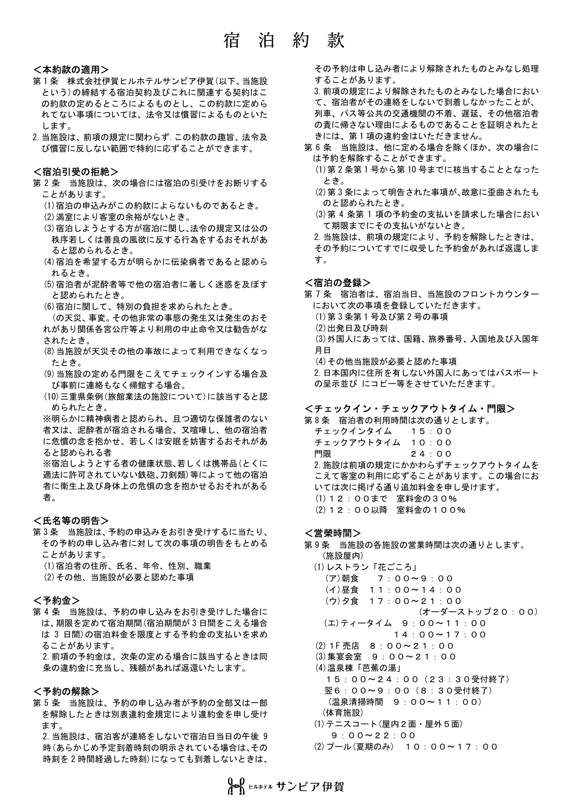## 宿 泊 約 款

#### <本約款の適用>

- 第1条 株式会社伊賀ヒルホテルサンビア伊賀(以下、当施設 という)の締結する宿泊契約及びこれに関連する契約はこ の約款の定めるところによるものとし、この約款に定めら れてない事項については、法令又は慣習によるものといた します。
- 2.当施設は、前項の規定に関わらず.この約款の趣旨、法令及 び慣習に反しない範囲で特約に応ずることができます。

### <宿泊引受の拒絶>

- 第 2 条 当施設は、次の場合には宿泊の引受けをお断りする ことがあります。
	- (1)宿泊の申込みがこの約款によらないものであるとき。
	- (2)満室により客室の余裕がないとき。
	- (3)宿泊しようとする方が宿泊に関し、法令の規定又は公の 秩序若しくは善良の風欲に反する行為をするおそれがあ ると認められるとき。
	- (4)宿泊を希望する方が明らかに伝染病者であると認めら れるとき。
	- (5)宿泊者が泥酔者等で他の宿泊者に著しく迷惑を及ぼす と認められたとき。
	- (6)宿泊に関して、特別の負担を求められたとき。

(の天災、事変。その他非常の事態の発生又は発生のおそ れがあり関係各宮公庁等より利用の中止命令又は勧告がな されたとき。

- (8)当施設が天災その他の事故によって利用できなくなっ たとき。
- (9)当施設の定める門限をこえてチェックインする場合及 び事前に連絡もなく帰館する場合。
- (10)三重県条例(旅館業法の施設について)に該当すると認 められたとき。

※明らかに精神病者と認められ、且つ適切な保誰者のない 者又は、泥酔者が宿泊される場合、又喧嘩し、他の宿泊者 に危慣の念を抱かせ、若しくは安眠を妨害するおそれがあ ると認められる者

※宿泊しようとする者の健康状態、若しくは携帯品(とくに 適法に許可されていない鉄砲、刀剣類)等によって他の宿泊 者に衛生上及び身体上の危惧の念を抱かせるおそれがある 者。

## <氏名等の明告>

- 第 3 条 当施設は、予約の申込みをお引き受けするに当たり、 その予約の申し込み者に対して次の事項の明告をもとめる ことがあります。
	- (1)宿泊者の住所、氏名、年令、性別、職業
	- (2)その他、当施設が必要と認めた事項

## <予約金>

第 4 条 当施設は、予約の申し込みをお引き受けした場合に は、期限を定めて宿泊期間(宿泊期間が 3 日間をこえる場合 は 3 日間)の宿泊料金を限度とする予約金の支払いを求め ることがあります。

2.前項の予約金は、次条の定める場合に該当するときは同 条の違約金に充当し、残額があれば返還いたします。

#### <予約の解除>

第 5 条 当施設は、予約の申し込み者が予約の全部又は一部 を解除したときは別表違約金規定により違約金を申し受け ます。

2.当施設は、宿泊客が連絡をしないで宿泊日当日の午後 9 時(あらかじめ予定到着時刻の明示されている場合は、その 時刻を 2 時間経過した時刻)になっても到着しないときは、

その予約は申し込み者により解除されたものとみなし処理 することがあります。

- 3.前項の規定により解除されたものとみなした場合におい て、宿泊者がその連絡をしないで到着しなかったことが、 列車、パス等公共の交通機関の不着、遅延、その他宿泊者 の責に帰さない理由によるものであることを証明されたと きには、第 1 項の違約金はいただきません。
- 第 6 条 当施設は、他に定める場合を除くほか、次の場合に は予約を解除することができます。
	- (1)第 2 条第 1 号から第 10 号までに核当することとなった とき。
	- (2)第 3 条によって明告された事項が、故意に歪曲されたも のと認められたとき。
	- (3)第 4 条第 1 項の予約金の支払いを請求した場合におい て期限までにその支払いがないとき。

2.当施設は、前項の規定により、予約を解除したときは、 その予約についてすでに収受した予約金があれば返還しま す。

#### <宿泊の登録>

第 7 条 宿泊者は、宿泊当日、当施設のフロントカウンター において次の事項を登録していただきます。 (1)第 3 条第 1 号及び第 2 号の事項 (2)出発日及び時刻 (3)外国人にあっては、国籍、旅券番号、入国地及び入国年 月日 (4)その他当施設が必要と認めた事項 2.日本国内に住所を有しない外国人にあってはパスポート の呈示並び にコピー等をさせていただきます。

## <チェックイン・チェックアウトタイム・門限>

第 8 条 宿泊者の利用時間は次の通りとします。 チェックインタイム 15:00 チェックアウトタイム 10:00 門限 24:00 2. 施設は前項の規定にかかわらずチェックアウトタイムを こえて客室の利用に応ずることがあります。この場合にお いては次に掲げる通り追加料金を申し受けます。 (1)12:00まで 室料金の30% (2)12:00以降 室料金の100%

### <営榮時間>

第 9 条 当施設の各施設の営業時間は次の通りとします。 (施設屋内)

(1)レストラン「花ごころ」 (ア)朝食 7:00~9:00 (イ)昼食 11:00~14:00 (ウ)夕食 17:00~21:00 (オーダーストップ20:00) (エ)ティータイム 9:00~11:00 14:00~17:00 (2)1F 売店 8:00~21:00 (3)集宴会室 9:00~21:00 (4)温泉棟「芭蕉の湯」 15:00~24:00(23:30受付終了) 翌6:00~9:00(8:30受付終了) (温泉清掃時間 9:00~11:00) (体育施設) (1)テニスコート(屋内2面・屋外5面) 9:00~22:00

(2)プール(夏期のみ) 10:00~17:00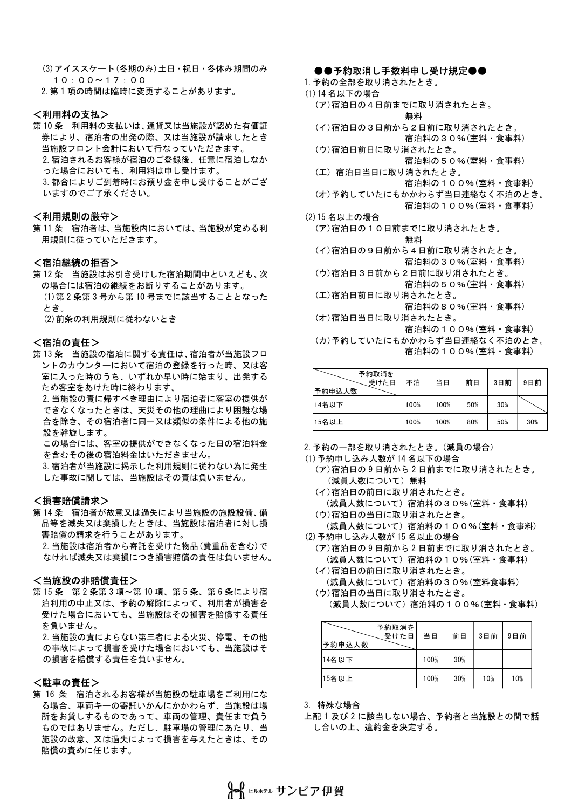(3)アイススケート(冬期のみ)土日・祝日・冬休み期間のみ 10:00~17:00

2.第 1 項の時間は臨時に変更することがあります。

## <利用料の支払>

第 10 条 利用料の支払いは、通貨又は当施設が認めた有価証 券により、宿泊者の出発の際、又は当施設が請求したとき 当施設フロント会計において行なっていただきます。 2.宿泊されるお客様が宿泊のご登録後、任意に宿泊しなか った場合においても、利用料は申し受けます。 3.都合によりご到着時にお預り金を申し受けることがござ いますのでご了承ください。

## <利用規則の厳守>

第 11 条 宿泊者は、当施設内においては、当施設が定める利 用規則に従っていただきます。

## <宿泊継続の拒否>

第 12 条 当施設はお引き受けした宿泊期間中といえども、次 の場合には宿泊の継続をお断りすることがあります。 (1)第 2 条第 3 号から第 10 号までに該当することとなった とき。

(2)前条の利用規則に従わないとき

#### <宿泊の責任>

第 13 条 当施設の宿泊に関する責任は、宿泊者が当施設フロ ントのカウンターにおいて宿泊の登録を行った時、又は客 室に入った時のうち、いずれか早い時に始まり、出発する ため客室をあけた時に終わります。

2.当施設の責に帰すべき理由により宿泊者に客室の提供が できなくなったときは、天災その他の理曲により困難な場 合を除き、その宿泊者に同一又は類似の条件による他の施 設を幹旋します。

この場合には、客室の提供ができなくなった日の宿泊料金 を含むその後の宿泊料金はいただきません。

3.宿泊者が当施設に掲示した利用規則に従わない為に発生 した事故に関しては、当施設はその責は負いません。

## <損害賠償請求>

第 14 条 宿泊者が故意又は過失により当施設の施設設備、備 品等を滅失又は棄損したときは、当施設は宿泊者に対し損 害賠償の請求を行うことがあります。 2.当施設は宿泊者から寄託を受けた物品(費重品を含む)で なければ滅失又は棄損につき損害賠償の責任は負いません。

#### <当施設の非賠償責任>

第 15 条 第 2 条第 3 項~第 10 項、第 5 条、第 6 条により宿 泊利用の中止又は、予約の解除によって、利用者が損害を 受けた場合においても、当施設はその損害を賠償する責任 を負いません。

2.当施設の責によらない第三者による火災、停電、その他 の事故によって損害を受けた場合においても、当施設はそ の損害を賠償する責任を負いません。

## <駐車の責任>

第 16 条 宿泊されるお客様が当施設の駐車場をご利用にな る場合、車両キーの寄託いかんにかかわらず、当施設は場 所をお貸しするものであって、車両の管理、責任まで負う ものではありません。ただし、駐車場の管理にあたり、当 施設の故意、又は過失によって損害を与えたときは、その 賠償の責めに任じます。

#### ●●予約取消し手数料申し受け規定●●

- 1.予約の全部を取り消されたとき。
- (1)14 名以下の場合
	- (ア)宿泊日の4日前までに取り消されたとき。 無料
	- (イ)宿泊日の3日前から2日前に取り消されたとき。
		- 宿泊料の30%(室料・食事料)
	- (ウ)宿泊日前日に取り消されたとき。
	- 宿泊料の50%(室料・食事料) (工) 宿泊日当日に取り消されたとき。
		- 宿泊料の100%(室料・食事料)
	- (オ)予約していたにもかかわらず当日連絡なく不泊のとき。
		- 宿泊料の100%(室料・食事料)
- (2)15 名以上の場合
	- (ア)宿泊日の10日前までに取り消されたとき。

#### 無料

- (イ)宿泊日の9日前から4日前に取り消されたとき。 宿泊料の30%(室料・食事料)
- (ウ)宿泊日3日前から2日前に取り消されたとき。 宿泊料の50%(室料・食事料)
- (工)宿泊日前日に取り消されたとき。
- 宿泊料の80%(室料・食事料) (オ)宿泊日当日に取り消されたとき。

宿泊料の100%(室料・食事料)

(カ)予約していたにもかかわらず当日連絡なく不泊のとき。 宿泊料の100%(室料・食事料)

|                         | 1日/日4キVノ IUU ツロ \ 王4キ *艮 尹4キノ |      |     |     |     |  |
|-------------------------|-------------------------------|------|-----|-----|-----|--|
| 予約取消を<br>受けた日<br>予約申込人数 | 不泊                            | 当日   | 前日  | 3日前 | 9日前 |  |
| 14名以下                   | 100%                          | 100% | 50% | 30% |     |  |
| 15名以上                   | 100%                          | 100% | 80% | 50% | 30% |  |

- 2.予約の一部を取り消されたとき。(減員の場合)
- (1)予約申し込み人数が 14 名以下の場合
	- (ア)宿泊日の 9 日前から 2 日前までに取り消されたとき。 (減員人数について)無料
	- (イ)宿泊日の前日に取り消されたとき。 (減員人数について)宿泊料の30%(室料・食事料)
	- (ウ)宿泊日の当日に取り消されたとき。

(減員人数について)宿泊料の100%(室料・食事料) (2)予約申し込み人数が 15 名以止の場合

- (ア)宿泊日の 9 日前から 2 日前までに取り消されたとき。 (減員人数について)宿泊料の10%(室料・食事料)
- (イ)宿泊日の前日に取り消されたとき。 (減員人数について)宿泊料の30%(室料食事料)
- (ウ)宿泊日の当日に取り消されたとき。

<sup>(</sup>減員人数について)宿泊料の100%(室料・食事料)

| \/ 纵員 /\双 l こ ノ い ' し / 「出 /口 イーf Vノ I U U フリ \主 イーf  ̄ 皮 肀 イーf / |                |      |     |     |     |  |  |
|-------------------------------------------------------------------|----------------|------|-----|-----|-----|--|--|
| 予約申込人数                                                            | 予約取消を <br>受けた日 | 当日   | 前日  | 3日前 | 9日前 |  |  |
| 14名以下                                                             |                | 100% | 30% |     |     |  |  |
| 15名以上                                                             |                | 100% | 30% | 10% | 10% |  |  |

3.特殊な場合

上配 1 及び 2 に該当しない場合、予約者と当施設との間で話 し合いの上、違約金を決定する。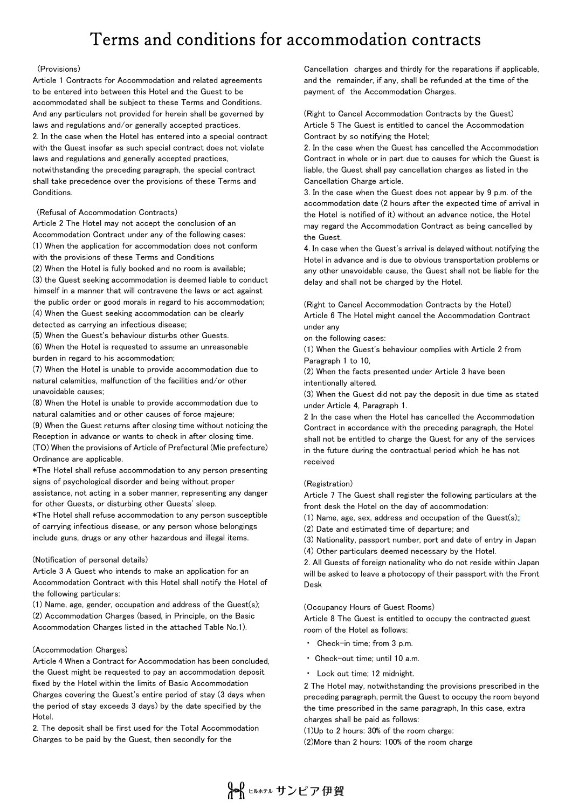# Terms and conditions for accommodation contracts

#### (Provisions)

Article 1 Contracts for Accommodation and related agreements to be entered into between this Hotel and the Guest to be accommodated shall be subject to these Terms and Conditions. And any particulars not provided for herein shall be governed by laws and regulations and/or generally accepted practices. 2. In the case when the Hotel has entered into a special contract with the Guest insofar as such special contract does not violate laws and regulations and generally accepted practices, notwithstanding the preceding paragraph, the special contract shall take precedence over the provisions of these Terms and Conditions.

(Refusal of Accommodation Contracts)

Article 2 The Hotel may not accept the conclusion of an Accommodation Contract under any of the following cases: (1) When the application for accommodation does not conform with the provisions of these Terms and Conditions (2) When the Hotel is fully booked and no room is available; (3) the Guest seeking accommodation is deemed liable to conduct himself in a manner that will contravene the laws or act against the public order or good morals in regard to his accommodation; (4) When the Guest seeking accommodation can be clearly detected as carrying an infectious disease;

(5) When the Guest's behaviour disturbs other Guests.

(6) When the Hotel is requested to assume an unreasonable burden in regard to his accommodation;

(7) When the Hotel is unable to provide accommodation due to natural calamities, malfunction of the facilities and/or other unavoidable causes;

(8) When the Hotel is unable to provide accommodation due to natural calamities and or other causes of force majeure;

(9) When the Guest returns after closing time without noticing the Reception in advance or wants to check in after closing time. (TO) When the provisions of Article of Prefectural (Mie prefecture) Ordinance are applicable.

\*The Hotel shall refuse accommodation to any person presenting signs of psychological disorder and being without proper assistance, not acting in a sober manner, representing any danger

for other Guests, or disturbing other Guests' sleep.

\*The Hotel shall refuse accommodation to any person susceptible of carrying infectious disease, or any person whose belongings include guns, drugs or any other hazardous and illegal items.

#### (Notification of personal details)

Article 3 A Guest who intends to make an application for an Accommodation Contract with this Hotel shall notify the Hotel of the following particulars:

(1) Name, age, gender, occupation and address of the Guest(s); (2) Accommodation Charges (based, in Principle, on the Basic Accommodation Charges listed in the attached Table No.1).

#### (Accommodation Charges)

Article 4 When a Contract for Accommodation has been concluded, the Guest might be requested to pay an accommodation deposit fixed by the Hotel within the limits of Basic Accommodation Charges covering the Guest's entire period of stay (3 days when the period of stay exceeds 3 days) by the date specified by the Hotel.

2. The deposit shall be first used for the Total Accommodation Charges to be paid by the Guest, then secondly for the

Cancellation charges and thirdly for the reparations if applicable, and the remainder, if any, shall be refunded at the time of the payment of the Accommodation Charges.

(Right to Cancel Accommodation Contracts by the Guest) Article 5 The Guest is entitled to cancel the Accommodation Contract by so notifying the Hotel;

2. In the case when the Guest has cancelled the Accommodation Contract in whole or in part due to causes for which the Guest is liable, the Guest shall pay cancellation charges as listed in the Cancellation Charge article.

3. In the case when the Guest does not appear by 9 p.m. of the accommodation date (2 hours after the expected time of arrival in the Hotel is notified of it) without an advance notice, the Hotel may regard the Accommodation Contract as being cancelled by the Guest.

4. In case when the Guest's arrival is delayed without notifying the Hotel in advance and is due to obvious transportation problems or any other unavoidable cause, the Guest shall not be liable for the delay and shall not be charged by the Hotel.

(Right to Cancel Accommodation Contracts by the Hotel) Article 6 The Hotel might cancel the Accommodation Contract under any

on the following cases:

(1) When the Guest's behaviour complies with Article 2 from Paragraph 1 to 10,

(2) When the facts presented under Article 3 have been intentionally altered.

(3) When the Guest did not pay the deposit in due time as stated under Article 4, Paragraph 1.

2 In the case when the Hotel has cancelled the Accommodation Contract in accordance with the preceding paragraph, the Hotel shall not be entitled to charge the Guest for any of the services in the future during the contractual period which he has not received

#### (Registration)

Article 7 The Guest shall register the following particulars at the front desk the Hotel on the day of accommodation:

(1) Name, age, sex, address and occupation of the Guest $(s)$ ;

(2) Date and estimated time of departure; and

(3) Nationality, passport number, port and date of entry in Japan

(4) Other particulars deemed necessary by the Hotel.

2. All Guests of foreign nationality who do not reside within Japan will be asked to leave a photocopy of their passport with the Front Desk

(Occupancy Hours of Guest Rooms)

Article 8 The Guest is entitled to occupy the contracted guest room of the Hotel as follows:

- ㆍ Check-in time; from 3 p.m.
- Check-out time: until 10 a.m.
- Lock out time; 12 midnight.

2 The Hotel may, notwithstanding the provisions prescribed in the preceding paragraph, permit the Guest to occupy the room beyond the time prescribed in the same paragraph, In this case, extra charges shall be paid as follows:

(1)Up to 2 hours: 30% of the room charge:

(2)More than 2 hours: 100% of the room charge